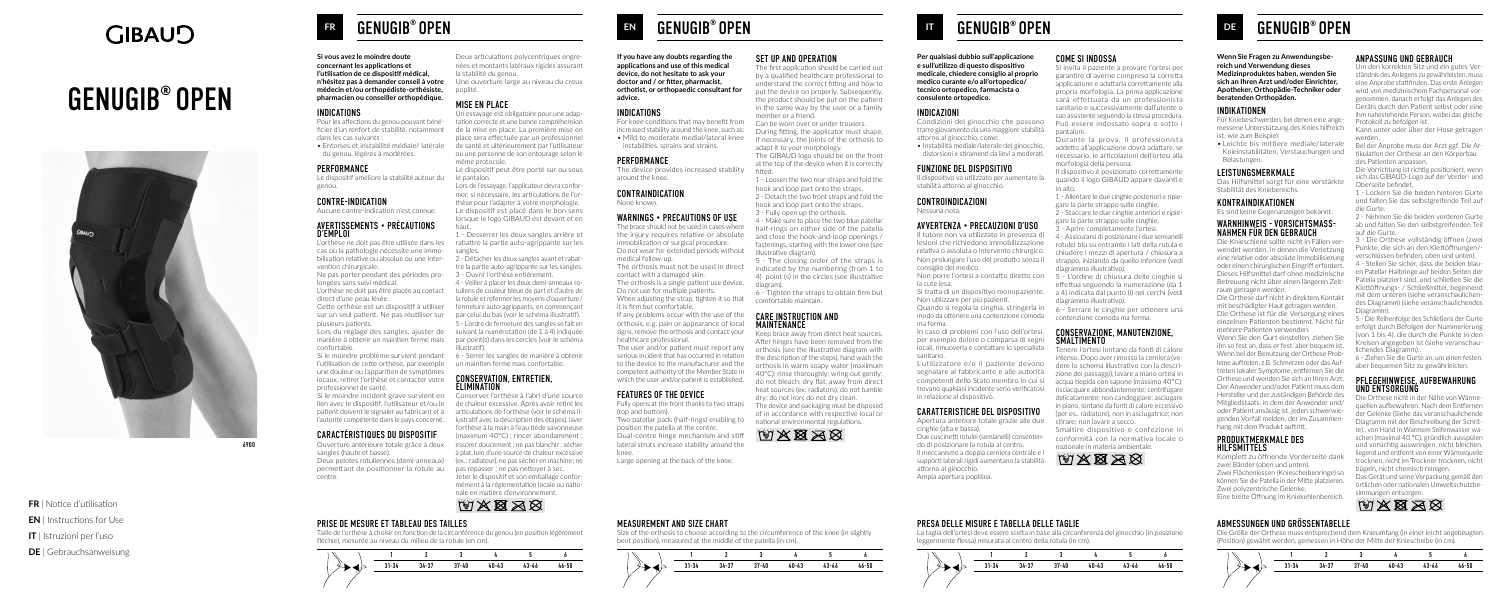## **GIBAUD**

# GENUGIB® OPEN



**FR** | Notice d'utilisation

- **EN** | Instructions for Use
- **IT** | Istruzioni per l'uso
- **DE** | Gebrauchsanweisung

6900

### **FR** GENUGIB® OPEN

**Si vous avez le moindre doute concernant les applications et l'utilisation de ce dispositif médical, n'hésitez pas à demander conseil à votre médecin et/ou orthopédiste-orthésiste, pharmacien ou conseiller orthopédique.**

#### INDICATIONS

Pour les affections du genou pouvant bénéficier d'un renfort de stabilité, notamment dans les cas suivants :

• Entorses et instabilité médiale/ latérale du genou, légères à modérées.

#### PERFORMANCE

Le dispositif améliore la stabilité autour du genou.

#### CONTRE-INDICATION

Aucune contre-indication n'est connue.

#### AVERTISSEMENTS • PRÉCAUTIONS D'EMPLOI

L'orthèse ne doit pas être utilisée dans les cas où la pathologie nécessite une immo-sangles. bilisation relative ou absolue ou une intervention chirurgicale.

Ne pas porter pendant des périodes prolongées sans suivi médical.

direct d'une peau lésée.

Cette orthèse est un dispositif à utiliser plusieurs patients.

Lors du réglage des sangles, ajuster de manière à obtenir un maintien ferme mais confortable.

Si le moindre problème survient pendant 6 - Serrer les sangles de manière à obtenir l'utilisation de cette orthèse, par exemple un maintien ferme mais confortable. une douleur ou l'apparition de symptômes locaux, retirer l'orthèse et contacter votre professionnel de santé.

Si le moindre incident grave survient en Conserver l'orthèse à l'abri d'une source lien avec le dispositif, l'utilisateur et/ou le patient doivent le signaler au fabricant et à l'autorité compétente dans le pays concerné.

#### CARACTÉRISTIQUES DU DISPOSITIF

de chaleur excessive. Après avoir retiré les articulations de l'orthèse (voir le schéma illustratif avec la description des étapes), laver l'orthèse à la main à l'eau tiède savonneuse (maximum 40°C) ; rincer abondamment ; essorer doucement ; ne pas blanchir ; sécher à plat, loin d'une source de chaleur excessive Deux pelotes rotuliennes (demi-anneaux) (ex. : radiateur), ne pas sécher en machine ; ne Jeter le dispositif et son emballage conformément à la réglementation locale ou nationale en matière d'environnement. MXXXX

Ouverture antérieure totale grâce à deux sangles (haute et basse).

permettant de positionner la rotule au pas repasser ; ne pas nettoyer à sec. centre.

Deux articulations polycentriques engrenées et montants latéraux rigides assurant la stabilité du genou. Une ouverture large au niveau du creux poplité.

#### MISE EN PLACE

L'orthèse ne doit pas être placée au contact tuliens de couleur bleue de part et d'autre de sur un seul patient. Ne pas réutiliser sur par celui du bas (voir le schéma illustratif). 4 - Veiller à placer les deux demi-anneaux rola rotule et refermer les moyens d'ouverture / fermeture auto-agrippants, en commençant 5 - L'ordre de fermeture des sangles se fait en suivant la numérotation (de 1 à 4) indiquée par point(s) dans les cercles (voir le schéma illustratif).

Un essayage est obligatoire pour une adaptation correcte et une bonne compréhension de la mise en place. La première mise en place sera effectuée par un professionnel de santé et ultérieurement par l'utilisateur ou une personne de son entourage selon le même protocole.

Le dispositif peut être porté sur ou sous le pantalon.

Lors de l'essayage, l'applicateur devra conformer, si nécessaire, les articulations de l'orthèse pour l'adapter à votre morphologie. Le dispositif est placé dans le bon sens lorsque le logo GIBAUD est devant et en haut.

1 - Desserrer les deux sangles arrière et rabattre la partie auto-agrippante sur les

2 - Détacher les deux sangles avant et rabattre la partie auto-agrippante sur les sangles. 3 - Ouvrir l'orthèse entièrement.

### CONSERVATION, ENTRETIEN, ÉLIMINATION

#### CARE INSTRUCTION AND **MAINTENANCE**



PRISE DE MESURE ET TABLEAU DES TAILLES

Taille de l'orthèse à choisir en fonction de la circonférence du genou (en position légèrement fléchie), mesurée au niveau du milieu de la rotule (en cm).

**If you have any doubts regarding the applications and use of this medical device, do not hesitate to ask your doctor and / or fitter, pharmacist, orthotist, or orthopaedic consultant for advice.**

#### INDICATIONS

For knee conditions that may benefit from increased stability around the knee, such as: • Mild to moderate medial/lateral knee instabilities, sprains and strains.

#### PERFORMANCE

The device provides increased stability around the knee.

#### CONTRAINDICATION

None known.

Due cuscinetti rotulei (semianelli) consentendo di posizionare la rotula al centro. Il meccanismo a doppia cerniera centrale e

#### WARNINGS • PRECAUTIONS OF USE

The brace should not be used in cases where the injury requires relative or absolute immobilization or surgical procedure. Do not wear for extended periods without medical follow-up.

The orthosis must not be used in direct contact with a damaged skin.

The orthosis is a single patient use device. Do not use for multiple patients. When adjusting the strap, tighten it so that it is firm but comfortable.

If any problems occur with the use of the orthosis, e.g. pain or appearance of local signs, remove the orthosis and contact your healthcare professional.

The user and/or patient must report any serious incident that has occurred in relation to the device to the manufacturer and the competent authority of the Member State in which the user and/or patient is established.

#### CONSERVAZIONE, MANUTENZIONE, **SMALTIMENTO**

#### FEATURES OF THE DEVICE

Fully opens at the front thanks to two straps (top and bottom).

Two patellar pads (half-rings) enabling to position the patella at the centre. Dual-centre hinge mechanism and stiff lateral struts increase stability around the knee.

Large opening at the back of the knee.

#### SET UP AND OPERATION

The first application should be carried out by a qualified healthcare professional to understand the correct fitting and how to put the device on properly. Subsequently, the product should be put on the patient in the same way by the user or a family member or a friend.

Can be worn over or under trousers. During fitting, the applicator must shape, if necessary, the joints of the orthosis to adapt it to your morphology.

The GIBAUD logo should be on the front at the top of the device when it is correctly fitted.

1 - Loosen the two rear straps and fold the hook and loop part onto the straps.

2 - Detach the two front straps and fold the hook and loop part onto the straps. 3 - Fully open up the orthosis.

4 - Make sure to place the two blue patellar half-rings on either side of the patella and close the hook-and-loop openings / fastenings, starting with the lower one (see illustrative diagram).

5 - The closing order of the straps is indicated by the numbering (from 1 to 4) point (s) in the circles (see illustrative diagram).

6 - Tighten the straps to obtain firm but comfortable maintain.

Keep brace away from direct heat sources. After hinges have been removed from the orthosis (see the illustrative diagram with the description of the steps), hand wash the orthosis in warm soapy water (maximum 40°C); rinse thoroughly; wring out gently; do not bleach; dry flat, away from direct heat sources (ex: radiators), do not tumble dry; do not iron; do not dry clean.

The device and packaging must be disposed of in accordance with respective local or national environmental regulations.



### **EN** GENUGIB® OPEN



#### MEASUREMENT AND SIZE CHART

Size of the orthosis to choose according to the circumference of the knee (in slightly bent position), measured at the middle of the patella (in cm).

**Per qualsiasi dubbio sull'applicazione e sull'utilizzo di questo dispositivo medicale, chiedere consiglio al proprio medico curante e/o all'ortopedico/ tecnico ortopedico, farmacista o consulente ortopedico.**

#### INDICAZIONI

Condizioni del ginocchio che possono trarre giovamento da una maggiore stabilità attorno al ginocchio, come:

• Instabilità mediale/laterale del ginocchio, distorsioni e stiramenti da lievi a moderati.

#### FUNZIONE DEL DISPOSITIVO

Il dispositivo va utilizzato per aumentare la stabilità attorno al ginocchio.

#### CONTROINDICAZIONI

Nessuna nota.

#### AVVERTENZA • PRECAUZIONI D'USO

Il tutore non va utilizzato in presenza di lesioni che richiedono immobilizzazione relativa o assoluta o intervento chirurgico. Non prolungare l'uso del prodotto senza il consiglio del medico.

Non porre l'ortesi a contatto diretto con la cute lesa.

Si tratta di un dispositivo monopaziente. Non utilizzare per più pazienti.

Quando si regola la cinghia, stringerla in 6 - Serrare le cinghie per ottenere una modo da ottenere una contenzione comoda ma ferma.

In caso di problemi con l'uso dell'ortesi, per esempio dolore o comparsa di segni locali, rimuoverla e contattare lo specialista sanitario.

L'utilizzatore e/o il paziente devono segnalare al fabbricante e alle autorità competenti dello Stato membro in cui si trovano qualsiasi incidente serio verificatosi in relazione al dispositivo.

#### CARATTERISTICHE DEL DISPOSITIVO

Apertura anteriore totale grazie alle due cinghie (alta e bassa).

supporti laterali rigidi aumentano la stabilità attorno al ginocchio.

Ampia apertura poplitea.

#### COME SI INDOSSA

Si invita il paziente a provare l'ortesi per garantire di averne compreso la corretta applicazione e adattarla correttamente alla propria morfologia. La prima applicazione sarà effettuata da un professionista sanitario e successivamente dall'utente o suo assistente seguendo la stessa procedura. Può essere indossato sopra o sotto i pantaloni.

Durante la prova, il professionista addetto all'applicazione dovrà adattare, se necessario, le articolazioni dell'ortesi alla morfologia della persona.

Il dispositivo è posizionato correttamente quando il logo GIBAUD appare davanti e in alto.

1 - Allentare le due cinghie posteriori e ripiegare la parte strappo sulle cinghie.

2 - Staccare le due cinghie anteriori e ripiegare la parte strappo sulle cinghie.

- Aprire completamente l'ortesi.

4 - Assicurarsi di posizionare i due semianelli rotulei blu su entrambi i lati della rotula e chiudere i mezzi di apertura / chiusura a strappo, iniziando da quello inferiore (vedi diagramma illustrativo).

5 - L'ordine di chiusura delle cinghie si effettua seguendo la numerazione (da 1 a 4) indicata dal punto (i) nei cerchi (vedi diagramma illustrativo).

contenzione comoda ma ferma.

Tenere l'ortesi lontano da fonti di calore intenso. Dopo aver rimosso la cerniera (vedere lo schema illustrativo con la descrizione dei passaggi), lavare a mano ortesi in acqua tiepida con sapone (massimo 40°C); risciacquare abbondantemente; centrifugare delicatamente; non candeggiare; asciugare in piano, lontano da fonti di calore eccessivo (per es., radiatore), non in asciugatrice; non stirare; non lavare a secco.

Smaltire dispositivo e confezione in conformità con la normativa locale o nazionale in materia ambientale.



### **DE GENUGIB<sup>®</sup> OPEN**



#### PRESA DELLE MISURE E TABELLA DELLE TAGLIE

La taglia dell'ortesi deve essere scelta in base alla circonferenza del ginocchio (in posizione leggermente flessa) misurata al centro della rotula (in cm).

**Wenn Sie Fragen zu Anwendungsbereich und Verwendung dieses Medizinproduktes haben, wenden Sie sich an Ihren Arzt und/oder Einrichter, Apotheker, Orthopädie-Techniker oder beratenden Orthopäden.**

#### INDIKATIONEN

Für Kniebeschwerden, bei denen eine angemessene Unterstützung des Knies hilfreich ist, wie zum Beispiel:

• Leichte bis mittlere mediale/laterale Knieinstabilitäten, Verstauchungen und Belastungen.

#### LEISTUNGSMERKMALE

Das Hilfsmittel sorgt für eine verstärkte Stabilität des Kniebereichs.

#### KONTRAINDIKATIONEN

Es sind keine Gegenanzeigen bekannt.

### WARNHINWEIS - VORSICHTSMASS-<br>NAHMEN FÜR DEN GEBRAUCH

Die Knieschiene sollte nicht in Fällen verwendet werden, in denen die Verletzung eine relative oder absolute Immobilisierung oder einen chirurgischen Eingriff erfordert. Dieses Hilfsmittel darf ohne medizinische Betreuung nicht über einen längeren Zeitraum getragen werden.

Die Orthese darf nicht in direktem Kontakt mit beschädigter Haut getragen werden.

Die Orthese ist für die Versorgung eines einzelnen Patienten bestimmt. Nicht für mehrere Patienten verwenden.

Wenn Sie den Gurt einstellen, ziehen Sie ihn so fest an, dass er fest, aber bequem ist. Wenn bei der Benutzung der Orthese Probleme auftreten, z.B. Schmerzen oder das Auftreten lokaler Symptome, entfernen Sie die Orthese und wenden Sie sich an Ihren Arzt. Der Anwender und/oder Patient muss dem Hersteller und der zuständigen Behörde des Mitgliedstaats, in dem der Anwender und/ oder Patient ansässig ist, jeden schwerwiegenden Vorfall melden, der im Zusammenhang mit dem Produkt auftritt.

#### PRODUKTMERKMALE DES HILFSMITTELS

Komplett zu öffnende Vorderseite dank zwei Bänder (oben und unten). Zwei Flächenkissen (Kniescheibenringe) so können Sie die Patella in der Mitte platzieren. Zwei polyzentrische Gelenke.

Eine breite Öffnung im Kniekehlenbereich.

#### ANPASSUNG UND GEBRAUCH

Um den korrekten Sitz und ein gutes Verständnis des Anlegens zu gewährleisten, muss eine Anprobe stattfinden. Das erste Anlegen wird von medizinischem Fachpersonal vorgenommen, danach erfolgt das Anlegen des Geräts durch den Patient selbst oder eine ihm nahestehende Person, wobei das gleiche Protokoll zu befolgen ist.

Kann unter oder über der Hose getragen werden.

Bei der Anprobe muss der Arzt ggf. Die Artikulation der Orthese an den Körperbau des Patienten anpassen.

Die Vorrichtung ist richtig positioniert, wenn sich das GIBAUD-Logo auf der Vorder- und Oberseite befindet.

1 - Lockern Sie die beiden hinteren Gurte und falten Sie das selbstgreifende Teil auf die Gurte.

2 - Nehmen Sie die beiden vorderen Gurte ab und falten Sie den selbstgreifenden Teil auf die Gurte.

3 - Die Orthese vollständig öffnen (zwei Punkte, die sich an den Klettöffnungen/ verschlüssen befinden, oben und unten).

4 - Stellen Sie sicher, dass die beiden blauen Patellar Halbringe auf beiden Seiten der Patella platziert sind, und schließen Sie die Klettöffnungs- / Schließmittel, beginnend mit dem unteren (siehe veranschaulichendes Diagramm) (siehe veranschaulichendes Diagramm).

5 - Die Reihenfolge des Schließens der Gurte erfolgt durch Befolgen der Nummerierung (von 1 bis 4), die durch die Punkte in den Kreisen angegeben ist (siehe veranschaulichendes Diagramm)..

6 - Ziehen Sie die Gurte an, um einen festen, aber bequemen Sitz zu gewährleisten.

#### PFLEGEHINWEISE, AUFBEWAHRUNG UND ENTSORGUNG

Die Orthese nicht in der Nähe von Wärmequellen aufbewahren. Nach dem Entfernen der Gelenke (Siehe das veranschaulichende Diagramm mit der Beschreibung der Schritte)., von Hand in Warmem Seifenwasser waschen (maximal 40 °C), gründlich ausspülen und vorsichtig auswringen, nicht bleichen, liegend und entfernt von einer Wärmequelle trocknen, nicht im Trockner trocknen, nicht bügeln, nicht chemisch reinigen.

Das Gerät und seine Verpackung gemäß den örtlichen oder nationalen Umweltschutzbesimmungen entsorgen.





#### ABMESSUNGEN UND GRÖSSENTABELLE

Die Größe der Orthese muss entsprechend dem Knieumfang (in einer leicht angebeugten (Position) gewählt werden, gemessen in Höhe der Mitte der Kniescheibe (in cm).